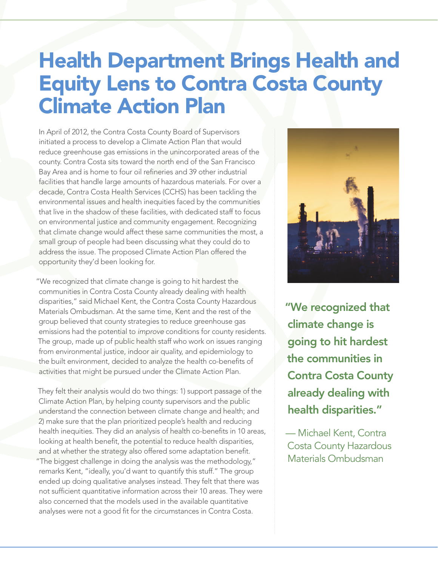## Health Department Brings Health and Equity Lens to Contra Costa County Climate Action Plan

In April of 2012, the Contra Costa County Board of Supervisors initiated a process to develop a Climate Action Plan that would reduce greenhouse gas emissions in the unincorporated areas of the county. Contra Costa sits toward the north end of the San Francisco Bay Area and is home to four oil refineries and 39 other industrial facilities that handle large amounts of hazardous materials. For over a decade, [Contra Costa Health Services \(CCHS\)](http://cchealth.org/built/) has been tackling the environmental issues and health inequities faced by the communities that live in the shadow of these facilities, with dedicated staff to focus on environmental justice and community engagement. Recognizing that climate change would affect these same communities the most, a small group of people had been discussing what they could do to address the issue. The proposed Climate Action Plan offered the opportunity they'd been looking for.

"We recognized that climate change is going to hit hardest the communities in Contra Costa County already dealing with health disparities," said Michael Kent, the Contra Costa County Hazardous Materials Ombudsman. At the same time, Kent and the rest of the group believed that county strategies to reduce greenhouse gas emissions had the potential to *improve* conditions for county residents. The group, made up of public health staff who work on issues ranging from environmental justice, indoor air quality, and epidemiology to the built environment, decided to analyze the health co-benefits of activities that might be pursued under the Climate Action Plan.

They felt their analysis would do two things: 1) support passage of the Climate Action Plan, by helping county supervisors and the public understand the connection between climate change and health; and 2) make sure that the plan prioritized people's health and reducing health inequities. They did an analysis of health co-benefits in 10 areas, looking at health benefit, the potential to reduce health disparities, and at whether the strategy also offered some adaptation benefit. "The biggest challenge in doing the analysis was the methodology," remarks Kent, "ideally, you'd want to quantify this stuff." The group ended up doing qualitative analyses instead. They felt that there was not sufficient quantitative information across their 10 areas. They were also concerned that the models used in the available quantitative analyses were not a good fit for the circumstances in Contra Costa.



"We recognized that climate change is going to hit hardest the communities in Contra Costa County already dealing with health disparities."

— Michael Kent, Contra Costa County Hazardous Materials Ombudsman